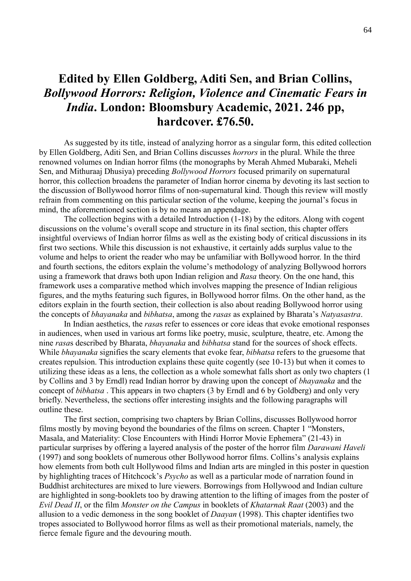## **Edited by Ellen Goldberg, Aditi Sen, and Brian Collins,**  *Bollywood Horrors: Religion, Violence and Cinematic Fears in India***. London: Bloomsbury Academic, 2021. 246 pp, hardcover. £76.50.**

As suggested by its title, instead of analyzing horror as a singular form, this edited collection by Ellen Goldberg, Aditi Sen, and Brian Collins discusses *horrors* in the plural. While the three renowned volumes on Indian horror films (the monographs by Merah Ahmed Mubaraki, Meheli Sen, and Mithuraaj Dhusiya) preceding *Bollywood Horrors* focused primarily on supernatural horror, this collection broadens the parameter of Indian horror cinema by devoting its last section to the discussion of Bollywood horror films of non-supernatural kind. Though this review will mostly refrain from commenting on this particular section of the volume, keeping the journal's focus in mind, the aforementioned section is by no means an appendage.

The collection begins with a detailed Introduction (1-18) by the editors. Along with cogent discussions on the volume's overall scope and structure in its final section, this chapter offers insightful overviews of Indian horror films as well as the existing body of critical discussions in its first two sections. While this discussion is not exhaustive, it certainly adds surplus value to the volume and helps to orient the reader who may be unfamiliar with Bollywood horror. In the third and fourth sections, the editors explain the volume's methodology of analyzing Bollywood horrors using a framework that draws both upon Indian religion and *Rasa* theory. On the one hand, this framework uses a comparative method which involves mapping the presence of Indian religious figures, and the myths featuring such figures, in Bollywood horror films. On the other hand, as the editors explain in the fourth section, their collection is also about reading Bollywood horror using the concepts of *bhayanaka* and *bibhatsa*, among the *rasas* as explained by Bharata's *Natyasastra*.

In Indian aesthetics, the *rasa*s refer to essences or core ideas that evoke emotional responses in audiences, when used in various art forms like poetry, music, sculpture, theatre, etc. Among the nine *rasa*s described by Bharata, *bhayanaka* and *bibhatsa* stand for the sources of shock effects. While *bhayanaka* signifies the scary elements that evoke fear, *bibhatsa* refers to the gruesome that creates repulsion. This introduction explains these quite cogently (see 10-13) but when it comes to utilizing these ideas as a lens, the collection as a whole somewhat falls short as only two chapters (1 by Collins and 3 by Erndl) read Indian horror by drawing upon the concept of *bhayanaka* and the concept of *bibhatsa* . This appears in two chapters (3 by Erndl and 6 by Goldberg) and only very briefly. Nevertheless, the sections offer interesting insights and the following paragraphs will outline these.

The first section, comprising two chapters by Brian Collins, discusses Bollywood horror films mostly by moving beyond the boundaries of the films on screen. Chapter 1 "Monsters, Masala, and Materiality: Close Encounters with Hindi Horror Movie Ephemera" (21-43) in particular surprises by offering a layered analysis of the poster of the horror film *Darawani Haveli* (1997) and song booklets of numerous other Bollywood horror films. Collins's analysis explains how elements from both cult Hollywood films and Indian arts are mingled in this poster in question by highlighting traces of Hitchcock's *Psycho* as well as a particular mode of narration found in Buddhist architectures are mixed to lure viewers. Borrowings from Hollywood and Indian culture are highlighted in song-booklets too by drawing attention to the lifting of images from the poster of *Evil Dead II*, or the film *Monster on the Campus* in booklets of *Khatarnak Raat* (2003) and the allusion to a vedic demoness in the song booklet of *Daayan* (1998). This chapter identifies two tropes associated to Bollywood horror films as well as their promotional materials, namely, the fierce female figure and the devouring mouth.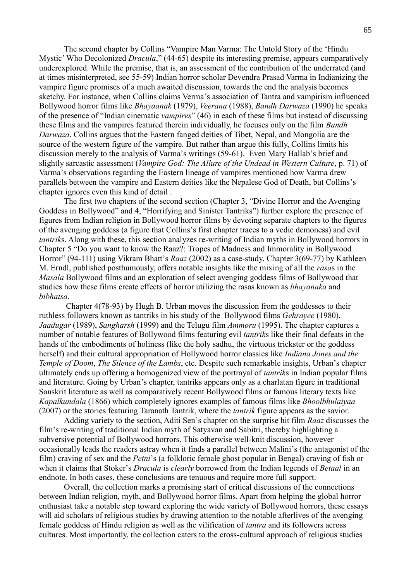The second chapter by Collins "Vampire Man Varma: The Untold Story of the 'Hindu Mystic' Who Decolonized *Dracula*," (44-65) despite its interesting premise, appears comparatively underexplored. While the premise, that is, an assessment of the contribution of the underrated (and at times misinterpreted, see 55-59) Indian horror scholar Devendra Prasad Varma in Indianizing the vampire figure promises of a much awaited discussion, towards the end the analysis becomes sketchy. For instance, when Collins claims Verma's association of Tantra and vampirism influenced Bollywood horror films like *Bhayaanak* (1979), *Veerana* (1988), *Bandh Darwaza* (1990) he speaks of the presence of "Indian cinematic *vampires*" (46) in each of these films but instead of discussing these films and the vampires featured therein individually, he focuses only on the film *Bandh Darwaza*. Collins argues that the Eastern fanged deities of Tibet, Nepal, and Mongolia are the source of the western figure of the vampire. But rather than argue this fully, Collins limits his discussion merely to the analysis of Varma's writings (59-61). Even Mary Hallab's brief and slightly sarcastic assessment (*Vampire God: The Allure of the Undead in Western Culture*, p. 71) of Varma's observations regarding the Eastern lineage of vampires mentioned how Varma drew parallels between the vampire and Eastern deities like the Nepalese God of Death, but Collins's chapter ignores even this kind of detail .

The first two chapters of the second section (Chapter 3, "Divine Horror and the Avenging Goddess in Bollywood" and 4, "Horrifying and Sinister Tantriks") further explore the presence of figures from Indian religion in Bollywood horror films by devoting separate chapters to the figures of the avenging goddess (a figure that Collins's first chapter traces to a vedic demoness) and evil *tantrik*s. Along with these, this section analyzes re-writing of Indian myths in Bollywood horrors in Chapter 5 "Do you want to know the Raaz?: Tropes of Madness and Immorality in Bollywood Horror" (94-111) using Vikram Bhatt's *Raaz* (2002) as a case-study. Chapter 3(69-77) by Kathleen M. Erndl, published posthumously, offers notable insights like the mixing of all the *rasa*s in the *Masala* Bollywood films and an exploration of select avenging goddess films of Bollywood that studies how these films create effects of horror utilizing the rasas known as *bhayanaka* and *bibhatsa*.

Chapter 4(78-93) by Hugh B. Urban moves the discussion from the goddesses to their ruthless followers known as tantriks in his study of the Bollywood films *Gehrayee* (1980), *Jaadugar* (1989), *Sangharsh* (1999) and the Telugu film *Ammoru* (1995). The chapter captures a number of notable features of Bollywood films featuring evil *tantrik*s like their final defeats in the hands of the embodiments of holiness (like the holy sadhu, the virtuous trickster or the goddess herself) and their cultural appropriation of Hollywood horror classics like *Indiana Jones and the Temple of Doom*, *The Silence of the Lambs*, etc. Despite such remarkable insights, Urban's chapter ultimately ends up offering a homogenized view of the portrayal of *tantrik*s in Indian popular films and literature. Going by Urban's chapter, tantriks appears only as a charlatan figure in traditional Sanskrit literature as well as comparatively recent Bollywood films or famous literary texts like *Kapalkundala* (1866) which completely ignores examples of famous films like *Bhoolbhulaiyaa* (2007) or the stories featuring Taranath Tantrik, where the *tantrik* figure appears as the savior.

Adding variety to the section, Aditi Sen's chapter on the surprise hit film *Raaz* discusses the film's re-writing of traditional Indian myth of Satyavan and Sabitri, thereby highlighting a subversive potential of Bollywood horrors. This otherwise well-knit discussion, however occasionally leads the readers astray when it finds a parallel between Malini's (the antagonist of the film) craving of sex and the *Petni*'s (a folkloric female ghost popular in Bengal) craving of fish or when it claims that Stoker's *Dracula* is *clearly* borrowed from the Indian legends of *Betaal* in an endnote. In both cases, these conclusions are tenuous and require more full support.

Overall, the collection marks a promising start of critical discussions of the connections between Indian religion, myth, and Bollywood horror films. Apart from helping the global horror enthusiast take a notable step toward exploring the wide variety of Bollywood horrors, these essays will aid scholars of religious studies by drawing attention to the notable afterlives of the avenging female goddess of Hindu religion as well as the vilification of *tantra* and its followers across cultures. Most importantly, the collection caters to the cross-cultural approach of religious studies